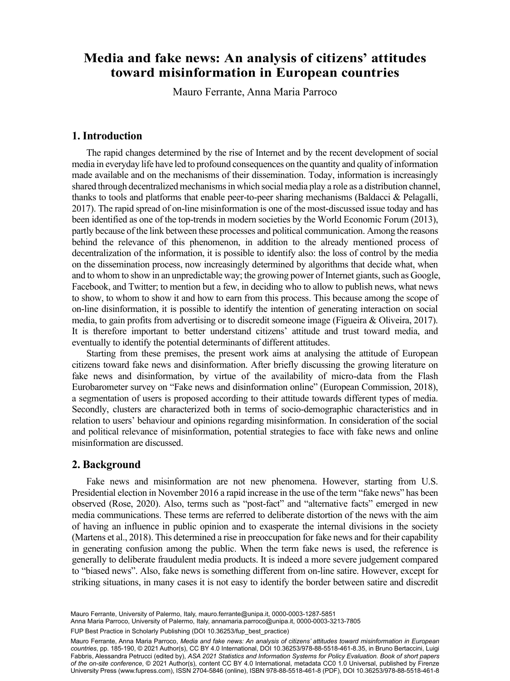# **toward misinformation in European countries** toward misinformation in European countries **Media and fake news: An analysis of citizens' attitudes**

Mauro Ferrante, Anna Maria Parroco

### **1. Introduction**

The rapid changes determined by the rise of Internet and by the recent development of social media in everyday life have led to profound consequences on the quantity and quality of information made available and on the mechanisms of their dissemination. Today, information is increasingly shared through decentralized mechanisms in which social media play a role as a distribution channel, thanks to tools and platforms that enable peer-to-peer sharing mechanisms (Baldacci & Pelagalli, 2017). The rapid spread of on-line misinformation is one of the most-discussed issue today and has been identified as one of the top-trends in modern societies by the World Economic Forum (2013), partly because of the link between these processes and political communication. Among the reasons behind the relevance of this phenomenon, in addition to the already mentioned process of decentralization of the information, it is possible to identify also: the loss of control by the media on the dissemination process, now increasingly determined by algorithms that decide what, when and to whom to show in an unpredictable way; the growing power of Internet giants, such as Google, Facebook, and Twitter; to mention but a few, in deciding who to allow to publish news, what news to show, to whom to show it and how to earn from this process. This because among the scope of on-line disinformation, it is possible to identify the intention of generating interaction on social media, to gain profits from advertising or to discredit someone image (Figueira & Oliveira, 2017). It is therefore important to better understand citizens' attitude and trust toward media, and eventually to identify the potential determinants of different attitudes.

Starting from these premises, the present work aims at analysing the attitude of European citizens toward fake news and disinformation. After briefly discussing the growing literature on fake news and disinformation, by virtue of the availability of micro-data from the Flash Eurobarometer survey on "Fake news and disinformation online" (European Commission, 2018), a segmentation of users is proposed according to their attitude towards different types of media. Secondly, clusters are characterized both in terms of socio-demographic characteristics and in relation to users' behaviour and opinions regarding misinformation. In consideration of the social and political relevance of misinformation, potential strategies to face with fake news and online misinformation are discussed.

#### **2. Background**

Fake news and misinformation are not new phenomena. However, starting from U.S. Presidential election in November 2016 a rapid increase in the use of the term "fake news" has been observed (Rose, 2020). Also, terms such as "post-fact" and "alternative facts" emerged in new media communications. These terms are referred to deliberate distortion of the news with the aim of having an influence in public opinion and to exasperate the internal divisions in the society (Martens et al., 2018). This determined a rise in preoccupation for fake news and for their capability in generating confusion among the public. When the term fake news is used, the reference is generally to deliberate fraudulent media products. It is indeed a more severe judgement compared to "biased news". Also, fake news is something different from on-line satire. However, except for striking situations, in many cases it is not easy to identify the border between satire and discredit

Mauro Ferrante, University of Palermo, Italy, [mauro.ferrante@unipa.it,](mailto:mauro.ferrante@unipa.it) [0000-0003-1287-5851](https://orcid.org/0000-0003-1287-5851)

171 Anna Maria Parroco, University of Palermo, Italy, [annamaria.parroco@unipa.it,](mailto:annamaria.parroco@unipa.it) [0000-0003-3213-7805](https://orcid.org/0000-0003-3213-7805)

FUP Best Practice in Scholarly Publishing (DOI [10.36253/fup\\_best\\_practice](https://doi.org/10.36253/fup_best_practice))

Mauro Ferrante, Anna Maria Parroco, *Media and fake news: An analysis of citizens' attitudes toward misinformation in European countries*, pp. 185-190, © 2021 Author(s), [CC BY 4.0 International](http://creativecommons.org/licenses/by/4.0/legalcode), DOI [10.36253/978-88-5518-461-8.35,](https://doi.org/10.36253/978-88-5518-461-8.35) in Bruno Bertaccini, Luigi Fabbris, Alessandra Petrucci (edited by), *ASA 2021 Statistics and Information Systems for Policy Evaluation. Book of short papers of the on-site conference*, © 2021 Author(s), content [CC BY 4.0 International,](http://creativecommons.org/licenses/by/4.0/legalcode) metadata [CC0 1.0 Universal](https://creativecommons.org/publicdomain/zero/1.0/legalcode), published by Firenze University Press ([www.fupress.com\)](http://www.fupress.com), ISSN 2704-5846 (online), ISBN 978-88-5518-461-8 (PDF), DOI [10.36253/978-88-5518-461-8](https://doi.org/10.36253/978-88-5518-461-8)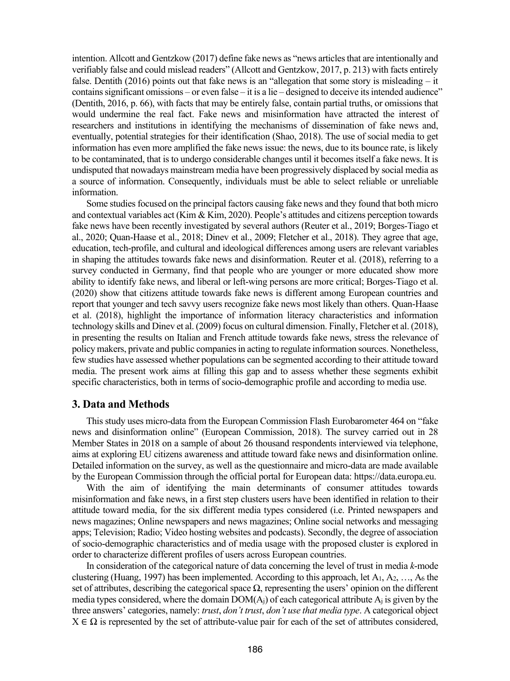intention. Allcott and Gentzkow (2017) define fake news as "news articles that are intentionally and verifiably false and could mislead readers" (Allcott and Gentzkow, 2017, p. 213) with facts entirely false. Dentith (2016) points out that fake news is an "allegation that some story is misleading – it contains significant omissions – or even false – it is a lie – designed to deceive its intended audience" (Dentith, 2016, p. 66), with facts that may be entirely false, contain partial truths, or omissions that would undermine the real fact. Fake news and misinformation have attracted the interest of researchers and institutions in identifying the mechanisms of dissemination of fake news and, eventually, potential strategies for their identification (Shao, 2018). The use of social media to get information has even more amplified the fake news issue: the news, due to its bounce rate, is likely to be contaminated, that is to undergo considerable changes until it becomes itself a fake news. It is undisputed that nowadays mainstream media have been progressively displaced by social media as a source of information. Consequently, individuals must be able to select reliable or unreliable information.

Some studies focused on the principal factors causing fake news and they found that both micro and contextual variables act (Kim & Kim, 2020). People's attitudes and citizens perception towards fake news have been recently investigated by several authors (Reuter et al., 2019; Borges-Tiago et al., 2020; Quan‐Haase et al., 2018; Dinev et al., 2009; Fletcher et al., 2018). They agree that age, education, tech-profile, and cultural and ideological differences among users are relevant variables in shaping the attitudes towards fake news and disinformation. Reuter et al. (2018), referring to a survey conducted in Germany, find that people who are younger or more educated show more ability to identify fake news, and liberal or left-wing persons are more critical; Borges-Tiago et al. (2020) show that citizens attitude towards fake news is different among European countries and report that younger and tech savvy users recognize fake news most likely than others. Quan‐Haase et al. (2018), highlight the importance of information literacy characteristics and information technology skills and Dinev et al. (2009) focus on cultural dimension. Finally, Fletcher et al. (2018), in presenting the results on Italian and French attitude towards fake news, stress the relevance of policy makers, private and public companies in acting to regulate information sources. Nonetheless, few studies have assessed whether populations can be segmented according to their attitude toward media. The present work aims at filling this gap and to assess whether these segments exhibit specific characteristics, both in terms of socio-demographic profile and according to media use.

### **3. Data and Methods**

This study uses micro-data from the European Commission Flash Eurobarometer 464 on "fake news and disinformation online" (European Commission, 2018). The survey carried out in 28 Member States in 2018 on a sample of about 26 thousand respondents interviewed via telephone, aims at exploring EU citizens awareness and attitude toward fake news and disinformation online. Detailed information on the survey, as well as the questionnaire and micro-data are made available by the European Commission through the official portal for European data: https://data.europa.eu.

With the aim of identifying the main determinants of consumer attitudes towards misinformation and fake news, in a first step clusters users have been identified in relation to their attitude toward media, for the six different media types considered (i.e. Printed newspapers and news magazines; Online newspapers and news magazines; Online social networks and messaging apps; Television; Radio; Video hosting websites and podcasts). Secondly, the degree of association of socio-demographic characteristics and of media usage with the proposed cluster is explored in order to characterize different profiles of users across European countries.

In consideration of the categorical nature of data concerning the level of trust in media *k*-mode clustering (Huang, 1997) has been implemented. According to this approach, let  $A_1, A_2, \ldots, A_6$  the set of attributes, describing the categorical space Ω, representing the users' opinion on the different media types considered, where the domain  $DOM(A_i)$  of each categorical attribute  $A_i$  is given by the three answers' categories, namely: *trust*, *don't trust*, *don't use that media type*. A categorical object  $X \in \Omega$  is represented by the set of attribute-value pair for each of the set of attributes considered,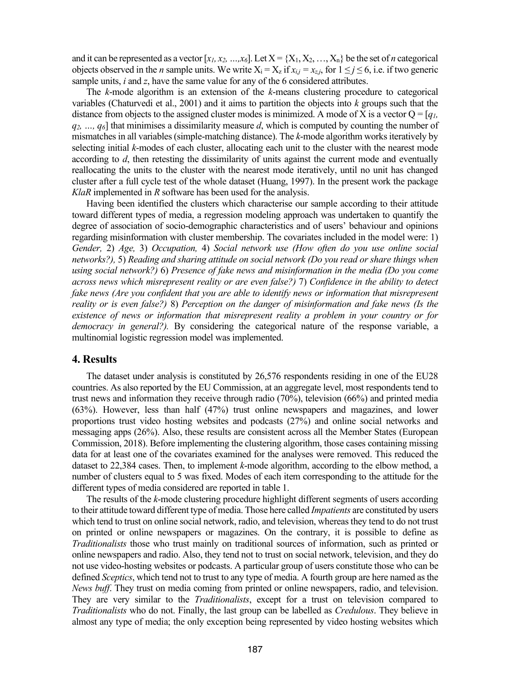and it can be represented as a vector  $[x_l, x_2, ..., x_6]$ . Let  $X = \{X_1, X_2, ..., X_n\}$  be the set of *n* categorical objects observed in the *n* sample units. We write  $X_i = X_z$  if  $x_{i,j} = x_{z,i}$ , for  $1 \le j \le 6$ , i.e. if two generic sample units, *i* and *z*, have the same value for any of the 6 considered attributes.

The *k*-mode algorithm is an extension of the *k*-means clustering procedure to categorical variables (Chaturvedi et al., 2001) and it aims to partition the objects into *k* groups such that the distance from objects to the assigned cluster modes is minimized. A mode of X is a vector  $Q = [q_1, q_2]$ *q2, …, q6*] that minimises a dissimilarity measure *d*, which is computed by counting the number of mismatches in all variables (simple-matching distance). The *k*-mode algorithm works iteratively by selecting initial *k*-modes of each cluster, allocating each unit to the cluster with the nearest mode according to *d*, then retesting the dissimilarity of units against the current mode and eventually reallocating the units to the cluster with the nearest mode iteratively, until no unit has changed cluster after a full cycle test of the whole dataset (Huang, 1997). In the present work the package *KlaR* implemented in *R* software has been used for the analysis.

Having been identified the clusters which characterise our sample according to their attitude toward different types of media, a regression modeling approach was undertaken to quantify the degree of association of socio-demographic characteristics and of users' behaviour and opinions regarding misinformation with cluster membership. The covariates included in the model were: 1) *Gender,* 2) *Age,* 3) *Occupation,* 4) *Social network use (How often do you use online social networks?),* 5) *Reading and sharing attitude on social network (Do you read or share things when using social network?)* 6) *Presence of fake news and misinformation in the media (Do you come across news which misrepresent reality or are even false?)* 7) *Confidence in the ability to detect fake news (Are you confident that you are able to identify news or information that misrepresent reality or is even false?)* 8) *Perception on the danger of misinformation and fake news (Is the existence of news or information that misrepresent reality a problem in your country or for democracy in general?).* By considering the categorical nature of the response variable, a multinomial logistic regression model was implemented.

#### **4. Results**

The dataset under analysis is constituted by 26,576 respondents residing in one of the EU28 countries. As also reported by the EU Commission, at an aggregate level, most respondents tend to trust news and information they receive through radio (70%), television (66%) and printed media (63%). However, less than half (47%) trust online newspapers and magazines, and lower proportions trust video hosting websites and podcasts (27%) and online social networks and messaging apps (26%). Also, these results are consistent across all the Member States (European Commission, 2018). Before implementing the clustering algorithm, those cases containing missing data for at least one of the covariates examined for the analyses were removed. This reduced the dataset to 22,384 cases. Then, to implement *k*-mode algorithm, according to the elbow method, a number of clusters equal to 5 was fixed. Modes of each item corresponding to the attitude for the different types of media considered are reported in table 1.

The results of the *k*-mode clustering procedure highlight different segments of users according to their attitude toward different type of media. Those here called *Impatients* are constituted by users which tend to trust on online social network, radio, and television, whereas they tend to do not trust on printed or online newspapers or magazines. On the contrary, it is possible to define as *Traditionalists* those who trust mainly on traditional sources of information, such as printed or online newspapers and radio. Also, they tend not to trust on social network, television, and they do not use video-hosting websites or podcasts. A particular group of users constitute those who can be defined *Sceptics*, which tend not to trust to any type of media. A fourth group are here named as the *News buff*. They trust on media coming from printed or online newspapers, radio, and television. They are very similar to the *Traditionalists*, except for a trust on television compared to *Traditionalists* who do not. Finally, the last group can be labelled as *Credulous*. They believe in almost any type of media; the only exception being represented by video hosting websites which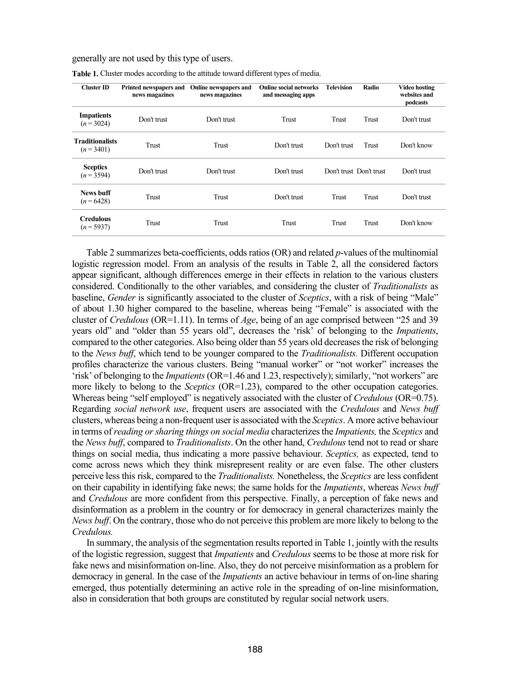generally are not used by this type of users.

| Cluster ID                           | Printed newspapers and<br>news magazines | Online newspapers and<br>news magazines | <b>Online social networks</b><br>and messaging apps | <b>Television</b>       | Radio | Video hosting<br>websites and<br>podcasts |
|--------------------------------------|------------------------------------------|-----------------------------------------|-----------------------------------------------------|-------------------------|-------|-------------------------------------------|
| <b>Impatients</b><br>$(n=3024)$      | Don't trust                              | Don't trust                             | Trust                                               | Trust                   | Trust | Don't trust                               |
| <b>Traditionalists</b><br>$(n=3401)$ | Trust                                    | Trust                                   | Don't trust                                         | Don't trust             | Trust | Don't know                                |
| <b>Sceptics</b><br>$(n=3594)$        | Don't trust                              | Don't trust                             | Don't trust                                         | Don't trust Don't trust |       | Don't trust                               |
| <b>News buff</b><br>$(n = 6428)$     | Trust                                    | Trust                                   | Don't trust                                         | Trust                   | Trust | Don't trust                               |
| <b>Credulous</b><br>$(n=5937)$       | Trust                                    | Trust                                   | Trust                                               | Trust                   | Trust | Don't know                                |

**Table 1.** Cluster modes according to the attitude toward different types of media.

Table 2 summarizes beta-coefficients, odds ratios(OR) and related *p*-values of the multinomial logistic regression model. From an analysis of the results in Table 2, all the considered factors appear significant, although differences emerge in their effects in relation to the various clusters considered. Conditionally to the other variables, and considering the cluster of *Traditionalists* as baseline, *Gender* is significantly associated to the cluster of *Sceptics*, with a risk of being "Male" of about 1.30 higher compared to the baseline, whereas being "Female" is associated with the cluster of *Credulous* (OR=1.11). In terms of *Age*, being of an age comprised between "25 and 39 years old" and "older than 55 years old", decreases the 'risk' of belonging to the *Impatients*, compared to the other categories. Also being older than 55 years old decreases the risk of belonging to the *News buff*, which tend to be younger compared to the *Traditionalists.* Different occupation profiles characterize the various clusters. Being "manual worker" or "not worker" increases the 'risk' of belonging to the *Impatients*(OR=1.46 and 1.23, respectively); similarly, "not workers" are more likely to belong to the *Sceptics* (OR=1.23), compared to the other occupation categories. Whereas being "self employed" is negatively associated with the cluster of *Credulous* (OR=0.75). Regarding *social network use*, frequent users are associated with the *Credulous* and *News buff*  clusters, whereas being a non-frequent user is associated with the *Sceptics*. A more active behaviour in terms of *reading or sharing things on social media* characterizes the *Impatients,* the *Sceptics* and the *News buff*, compared to *Traditionalists*. On the other hand, *Credulous* tend not to read or share things on social media, thus indicating a more passive behaviour. *Sceptics,* as expected, tend to come across news which they think misrepresent reality or are even false. The other clusters perceive less this risk, compared to the *Traditionalists.* Nonetheless, the *Sceptics* are less confident on their capability in identifying fake news; the same holds for the *Impatients*, whereas *News buff*  and *Credulous* are more confident from this perspective. Finally, a perception of fake news and disinformation as a problem in the country or for democracy in general characterizes mainly the *News buff*. On the contrary, those who do not perceive this problem are more likely to belong to the *Credulous.*

In summary, the analysis of the segmentation results reported in Table 1, jointly with the results of the logistic regression, suggest that *Impatients* and *Credulous* seems to be those at more risk for fake news and misinformation on-line. Also, they do not perceive misinformation as a problem for democracy in general. In the case of the *Impatients* an active behaviour in terms of on-line sharing emerged, thus potentially determining an active role in the spreading of on-line misinformation, also in consideration that both groups are constituted by regular social network users.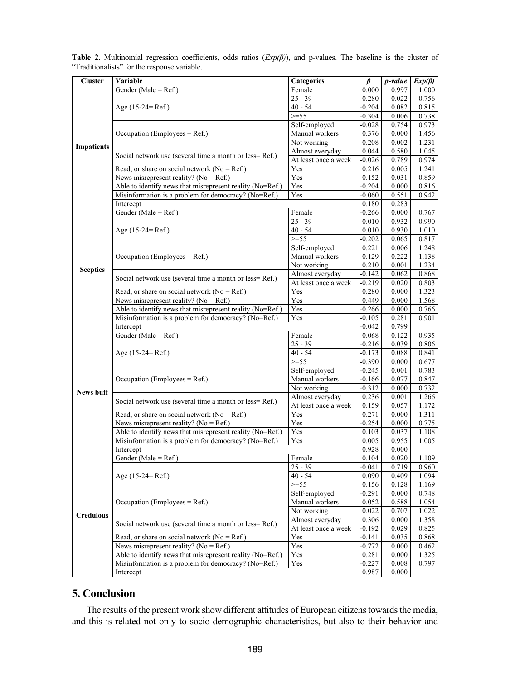| <b>Cluster</b>    | Variable                                                    | Categories           | ß                 | p-value | $Exp(\beta)$ |
|-------------------|-------------------------------------------------------------|----------------------|-------------------|---------|--------------|
|                   | Gender (Male = Ref.)                                        | Female               | 0.000             | 0.997   | 1.000        |
| <b>Impatients</b> |                                                             | $25 - 39$            | $-0.280$          | 0.022   | 0.756        |
|                   | Age (15-24= Ref.)                                           | $40 - 54$            | $-0.204$          | 0.082   | 0.815        |
|                   |                                                             | $>=55$               | $-0.304$          | 0.006   | 0.738        |
|                   |                                                             |                      |                   |         |              |
|                   |                                                             | Self-employed        | $-0.028$          | 0.754   | 0.973        |
|                   | Occupation (Employees $=$ Ref.)                             | Manual workers       | 0.376             | 0.000   | 1.456        |
|                   |                                                             | Not working          | 0.208             | 0.002   | 1.231        |
|                   | Social network use (several time a month or less=Ref.)      | Almost everyday      | 0.044             | 0.580   | 1.045        |
|                   |                                                             | At least once a week | $-0.026$          | 0.789   | 0.974        |
|                   | Read, or share on social network ( $No = Ref.$ )            | Yes                  | 0.216             | 0.005   | 1.241        |
|                   | News misrepresent reality? ( $No = Ref.$ )                  | Yes                  | $-0.152$          | 0.031   | 0.859        |
|                   | Able to identify news that misrepresent reality (No=Ref.)   | Yes                  | $-0.204$          | 0.000   | 0.816        |
|                   | Misinformation is a problem for democracy? (No=Ref.)<br>Yes |                      | $-0.060$          | 0.551   | 0.942        |
|                   | Intercept                                                   |                      |                   | 0.283   |              |
| <b>Sceptics</b>   | Gender (Male = Ref.)                                        | Female               | $-0.266$          | 0.000   | 0.767        |
|                   |                                                             | $25 - 39$            | $-0.010$          | 0.932   | 0.990        |
|                   | Age (15-24= Ref.)                                           | $40 - 54$            | 0.010             | 0.930   | 1.010        |
|                   |                                                             | $>=55$               | $-0.202$          | 0.065   | 0.817        |
|                   |                                                             | Self-employed        | 0.221             | 0.006   | 1.248        |
|                   | Occupation (Employees = $Ref.$ )                            | Manual workers       | 0.129             | 0.222   | 1.138        |
|                   |                                                             | Not working          | 0.210             | 0.001   | 1.234        |
|                   |                                                             | Almost everyday      | $-0.142$          | 0.062   | 0.868        |
|                   | Social network use (several time a month or less=Ref.)      | At least once a week | $-0.219$          | 0.020   | 0.803        |
|                   |                                                             |                      |                   |         |              |
|                   | Read, or share on social network ( $No = Ref.$ )            | Yes                  | 0.280             | 0.000   | 1.323        |
|                   | News misrepresent reality? ( $No = Ref.$ )                  | Yes                  | 0.449             | 0.000   | 1.568        |
|                   | Able to identify news that misrepresent reality (No=Ref.)   | Yes                  | $-0.266$          | 0.000   | 0.766        |
|                   | Misinformation is a problem for democracy? (No=Ref.)        | Yes                  | $-0.105$          | 0.281   | 0.901        |
|                   | Intercept                                                   |                      | $-0.042$          | 0.799   |              |
|                   | Gender (Male = $Ref.$ )                                     | Female               | $-0.068$          | 0.122   | 0.935        |
|                   |                                                             | $25 - 39$            | $-0.216$          | 0.039   | 0.806        |
|                   | Age $(15-24=Ref.)$                                          | $40 - 54$            | $-0.173$          | 0.088   | 0.841        |
|                   |                                                             | $>=55$               | $-0.390$          | 0.000   | 0.677        |
| <b>News buff</b>  |                                                             | Self-employed        | $-0.245$          | 0.001   | 0.783        |
|                   | Occupation (Employees = $Ref.$ )                            | Manual workers       | $-0.166$          | 0.077   | 0.847        |
|                   |                                                             | Not working          | $-0.312$          | 0.000   | 0.732        |
|                   | Social network use (several time a month or less=Ref.)      | Almost everyday      | 0.236             | 0.001   | 1.266        |
|                   |                                                             | At least once a week | 0.159             | 0.057   | 1.172        |
|                   | Read, or share on social network ( $No = Ref.$ )            | Yes                  | 0.271             | 0.000   | 1.311        |
|                   | News misrepresent reality? ( $No = Ref.$ )                  | Yes                  | $-0.254$          | 0.000   | 0.775        |
|                   | Able to identify news that misrepresent reality (No=Ref.)   | Yes                  | 0.103             | 0.037   | 1.108        |
|                   | Misinformation is a problem for democracy? (No=Ref.)<br>Yes |                      | 0.005             | 0.955   | 1.005        |
|                   | Intercept                                                   |                      | 0.928             | 0.000   |              |
|                   | Gender (Male = Ref.)                                        | Female               | 0.104             | 0.020   | 1.109        |
|                   |                                                             | $25 - 39$            | $-0.041$          | 0.719   | 0.960        |
| <b>Credulous</b>  | Age $(15-24=Ref.)$                                          | $40 - 54$            | 0.090             | 0.409   | 1.094        |
|                   |                                                             | $>=55$               | 0.156             | 0.128   | 1.169        |
|                   | Occupation (Employees = $Ref.$ )                            | Self-employed        | $-0.291$          | 0.000   | 0.748        |
|                   |                                                             | Manual workers       | 0.052             | 0.588   | 1.054        |
|                   |                                                             | Not working          | 0.022             | 0.707   | 1.022        |
|                   |                                                             | Almost everyday      | 0.306             | 0.000   | 1.358        |
|                   | Social network use (several time a month or less=Ref.)      | At least once a week |                   |         |              |
|                   | Read, or share on social network ( $No = Ref.$ )            |                      | $-0.192$          | 0.029   | 0.825        |
|                   |                                                             | Yes                  | $-0.141$          | 0.035   | 0.868        |
|                   | News misrepresent reality? ( $No = Ref.$ )                  | Yes                  | $-0.772$          | 0.000   | 0.462        |
|                   | Able to identify news that misrepresent reality (No=Ref.)   | Yes                  | 0.281<br>$-0.227$ | 0.000   | 1.325        |
|                   | Misinformation is a problem for democracy? (No=Ref.)<br>Yes |                      |                   | 0.008   | 0.797        |
|                   | Intercept                                                   |                      |                   | 0.000   |              |

**Table 2.** Multinomial regression coefficients, odds ratios (*Exp(β)*), and p-values. The baseline is the cluster of "Traditionalists" for the response variable.

## **5. Conclusion**

The results of the present work show different attitudes of European citizens towards the media, and this is related not only to socio-demographic characteristics, but also to their behavior and